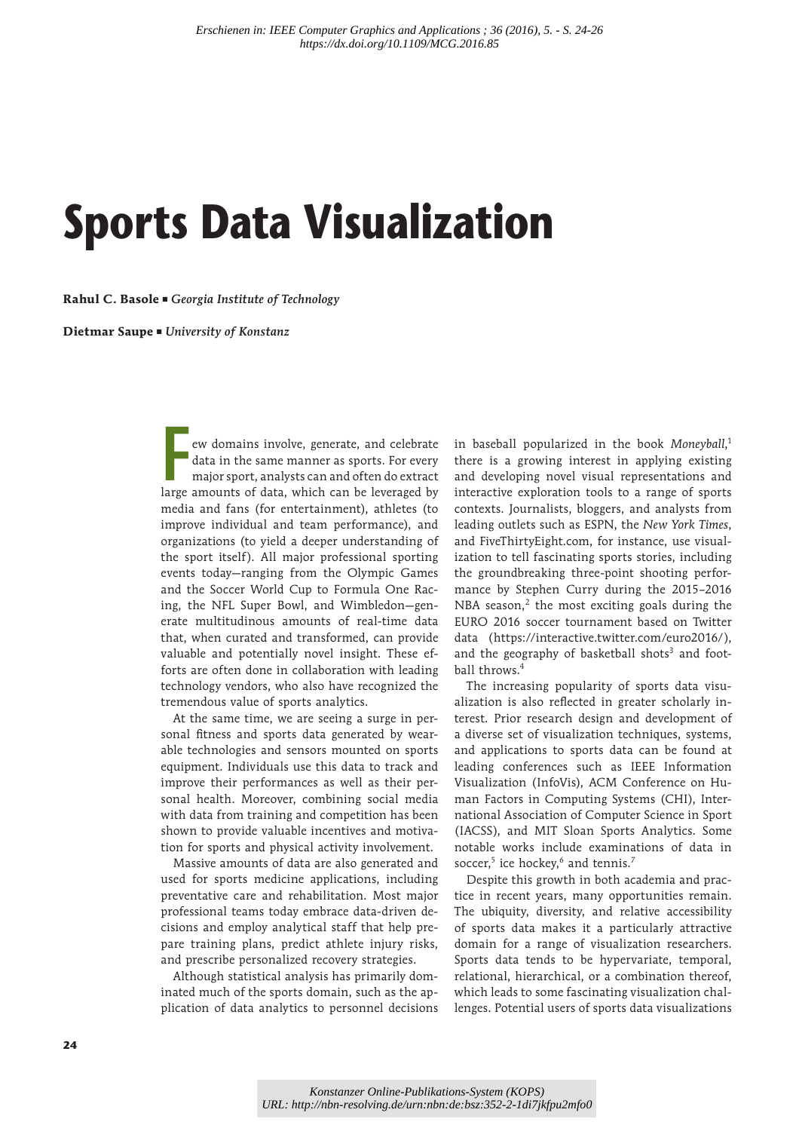# **Sports Data Visualization**

**Rahul C. Basole** ■ Georgia Institute of Technology

**Dietmar Saupe** ■ University of Konstanz

**F**ew domains involve, generate, and celebrate data in the same manner as sports. For every major sport, analysts can and often do extract large amounts of data, which can be leveraged by media and fans (for entertainment), athletes (to improve individual and team performance), and organizations (to yield a deeper understanding of the sport itself). All major professional sporting events today—ranging from the Olympic Games and the Soccer World Cup to Formula One Racing, the NFL Super Bowl, and Wimbledon—generate multitudinous amounts of real-time data that, when curated and transformed, can provide valuable and potentially novel insight. These efforts are often done in collaboration with leading technology vendors, who also have recognized the tremendous value of sports analytics.

At the same time, we are seeing a surge in personal fitness and sports data generated by wearable technologies and sensors mounted on sports equipment. Individuals use this data to track and improve their performances as well as their personal health. Moreover, combining social media with data from training and competition has been shown to provide valuable incentives and motivation for sports and physical activity involvement.

Massive amounts of data are also generated and used for sports medicine applications, including preventative care and rehabilitation. Most major professional teams today embrace data-driven decisions and employ analytical staff that help prepare training plans, predict athlete injury risks, and prescribe personalized recovery strategies.

Although statistical analysis has primarily dominated much of the sports domain, such as the application of data analytics to personnel decisions

in baseball popularized in the book *Moneyball*, 1 there is a growing interest in applying existing and developing novel visual representations and interactive exploration tools to a range of sports contexts. Journalists, bloggers, and analysts from leading outlets such as ESPN, the *New York Times*, and FiveThirtyEight.com, for instance, use visualization to tell fascinating sports stories, including the groundbreaking three-point shooting performance by Stephen Curry during the 2015–2016 NBA season, $2$  the most exciting goals during the EURO 2016 soccer tournament based on Twitter data (https://interactive.twitter.com/euro2016/), and the geography of basketball shots<sup>3</sup> and football throws.<sup>4</sup>

The increasing popularity of sports data visualization is also reflected in greater scholarly interest. Prior research design and development of a diverse set of visualization techniques, systems, and applications to sports data can be found at leading conferences such as IEEE Information Visualization (InfoVis), ACM Conference on Human Factors in Computing Systems (CHI), International Association of Computer Science in Sport (IACSS), and MIT Sloan Sports Analytics. Some notable works include examinations of data in soccer, $5$  ice hockey, $^6$  and tennis. $^7$ 

Despite this growth in both academia and practice in recent years, many opportunities remain. The ubiquity, diversity, and relative accessibility of sports data makes it a particularly attractive domain for a range of visualization researchers. Sports data tends to be hypervariate, temporal, relational, hierarchical, or a combination thereof, which leads to some fascinating visualization challenges. Potential users of sports data visualizations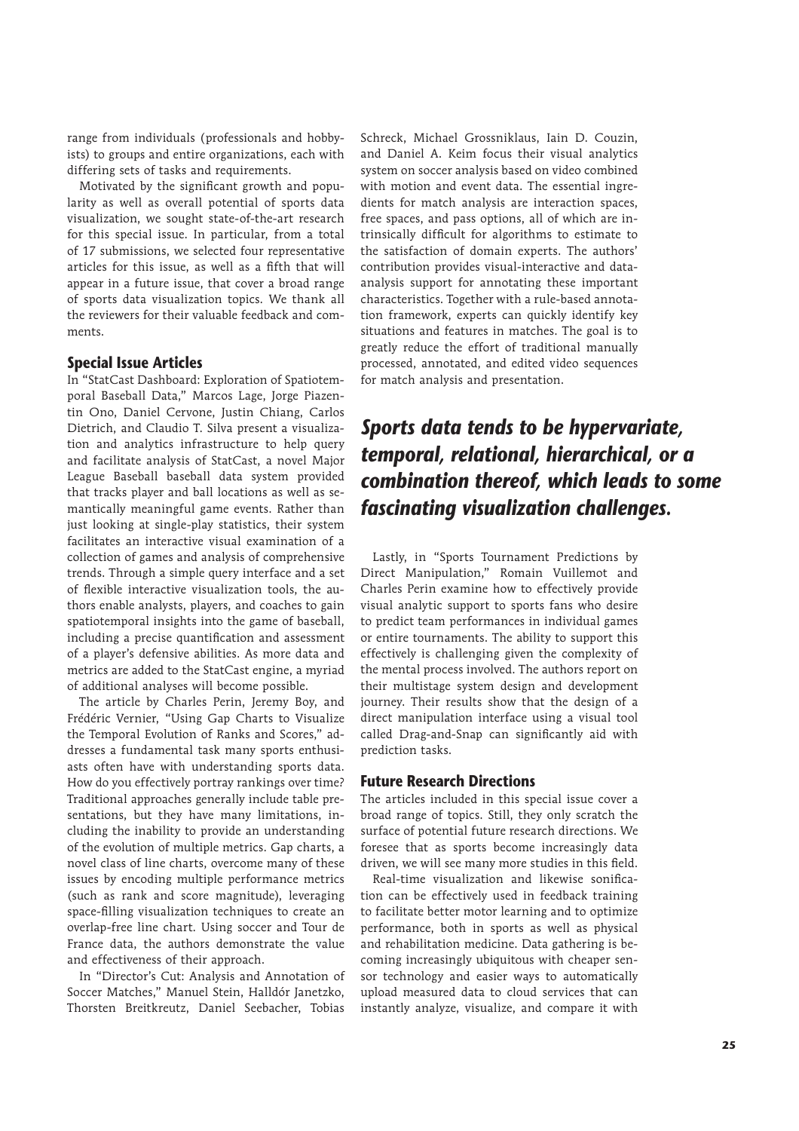range from individuals (professionals and hobbyists) to groups and entire organizations, each with differing sets of tasks and requirements.

Motivated by the significant growth and popularity as well as overall potential of sports data visualization, we sought state-of-the-art research for this special issue. In particular, from a total of 17 submissions, we selected four representative articles for this issue, as well as a fifth that will appear in a future issue, that cover a broad range of sports data visualization topics. We thank all the reviewers for their valuable feedback and comments.

## **Special Issue Articles**

In "StatCast Dashboard: Exploration of Spatiotemporal Baseball Data," Marcos Lage, Jorge Piazentin Ono, Daniel Cervone, Justin Chiang, Carlos Dietrich, and Claudio T. Silva present a visualization and analytics infrastructure to help query and facilitate analysis of StatCast, a novel Major League Baseball baseball data system provided that tracks player and ball locations as well as semantically meaningful game events. Rather than just looking at single-play statistics, their system facilitates an interactive visual examination of a collection of games and analysis of comprehensive trends. Through a simple query interface and a set of flexible interactive visualization tools, the authors enable analysts, players, and coaches to gain spatiotemporal insights into the game of baseball, including a precise quantification and assessment of a player's defensive abilities. As more data and metrics are added to the StatCast engine, a myriad of additional analyses will become possible.

The article by Charles Perin, Jeremy Boy, and Frédéric Vernier, "Using Gap Charts to Visualize the Temporal Evolution of Ranks and Scores," addresses a fundamental task many sports enthusiasts often have with understanding sports data. How do you effectively portray rankings over time? Traditional approaches generally include table presentations, but they have many limitations, including the inability to provide an understanding of the evolution of multiple metrics. Gap charts, a novel class of line charts, overcome many of these issues by encoding multiple performance metrics (such as rank and score magnitude), leveraging space-filling visualization techniques to create an overlap-free line chart. Using soccer and Tour de France data, the authors demonstrate the value and effectiveness of their approach.

In "Director's Cut: Analysis and Annotation of Soccer Matches," Manuel Stein, Halldór Janetzko, Thorsten Breitkreutz, Daniel Seebacher, Tobias Schreck, Michael Grossniklaus, Iain D. Couzin, and Daniel A. Keim focus their visual analytics system on soccer analysis based on video combined with motion and event data. The essential ingredients for match analysis are interaction spaces, free spaces, and pass options, all of which are intrinsically difficult for algorithms to estimate to the satisfaction of domain experts. The authors' contribution provides visual-interactive and dataanalysis support for annotating these important characteristics. Together with a rule-based annotation framework, experts can quickly identify key situations and features in matches. The goal is to greatly reduce the effort of traditional manually processed, annotated, and edited video sequences for match analysis and presentation.

## *Sports data tends to be hypervariate, temporal, relational, hierarchical, or a combination thereof, which leads to some fascinating visualization challenges.*

Lastly, in "Sports Tournament Predictions by Direct Manipulation," Romain Vuillemot and Charles Perin examine how to effectively provide visual analytic support to sports fans who desire to predict team performances in individual games or entire tournaments. The ability to support this effectively is challenging given the complexity of the mental process involved. The authors report on their multistage system design and development journey. Their results show that the design of a direct manipulation interface using a visual tool called Drag-and-Snap can significantly aid with prediction tasks.

### **Future Research Directions**

The articles included in this special issue cover a broad range of topics. Still, they only scratch the surface of potential future research directions. We foresee that as sports become increasingly data driven, we will see many more studies in this field.

Real-time visualization and likewise sonification can be effectively used in feedback training to facilitate better motor learning and to optimize performance, both in sports as well as physical and rehabilitation medicine. Data gathering is becoming increasingly ubiquitous with cheaper sensor technology and easier ways to automatically upload measured data to cloud services that can instantly analyze, visualize, and compare it with